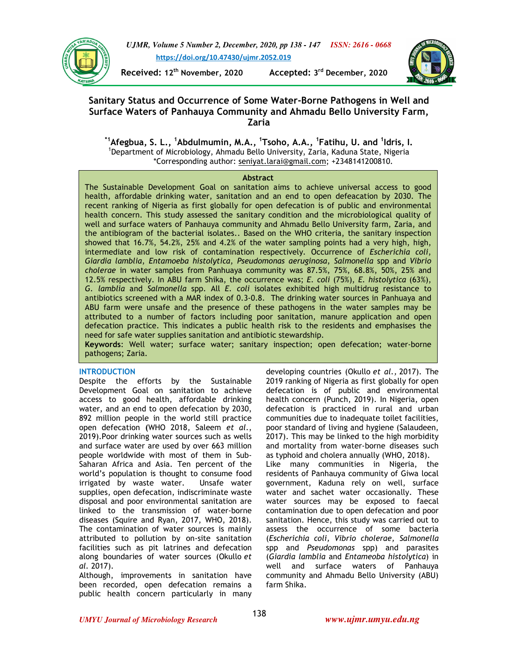

*UJMR, Volume 5 Number 2, December, 2020, pp 138 - 147 ISSN: 2616 - 0668* **https://doi.org/10.47430/ujmr.2052.019**

**Received: 12<sup>th</sup> November, 2020** 

Accepted: 3<sup>rd</sup> December, 2020



# **Sanitary Status and Occurrence of Some Water-Borne Pathogens in Well and Surface Waters of Panhauya Community and Ahmadu Bello University Farm, Zaria**

**\*1Afegbua, S. L., <sup>1</sup>Abdulmumin, M.A., <sup>1</sup>Tsoho, A.A., <sup>1</sup> Fatihu, U. and <sup>1</sup> Idris, I.**  1 Department of Microbiology, Ahmadu Bello University, Zaria, Kaduna State, Nigeria \*Corresponding author: seniyat.larai@gmail.com; +2348141200810.

### **Abstract**

The Sustainable Development Goal on sanitation aims to achieve universal access to good health, affordable drinking water, sanitation and an end to open defeacation by 2030. The recent ranking of Nigeria as first globally for open defecation is of public and environmental health concern. This study assessed the sanitary condition and the microbiological quality of well and surface waters of Panhauya community and Ahmadu Bello University farm, Zaria, and the antibiogram of the bacterial isolates.. Based on the WHO criteria, the sanitary inspection showed that 16.7%, 54.2%, 25% and 4.2% of the water sampling points had a very high, high, intermediate and low risk of contamination respectively. Occurrence of *Escherichia coli*, *Giardia lamblia*, *Entamoeba histolytica*, *Pseudomonas aeruginosa*, *Salmonella* spp and *Vibrio cholerae* in water samples from Panhuaya community was 87.5%, 75%, 68.8%, 50%, 25% and 12.5% respectively. In ABU farm Shika, the occurrence was; *E. coli* (75%), *E. histolytica* (63%), *G. lamblia* and *Salmonella* spp. All *E. coli* isolates exhibited high multidrug resistance to antibiotics screened with a MAR index of 0.3-0.8. The drinking water sources in Panhuaya and ABU farm were unsafe and the presence of these pathogens in the water samples may be attributed to a number of factors including poor sanitation, manure application and open defecation practice. This indicates a public health risk to the residents and emphasises the need for safe water supplies sanitation and antibiotic stewardship.

**Keywords**: Well water; surface water; sanitary inspection; open defecation; water-borne pathogens; Zaria.

### **INTRODUCTION**

Despite the efforts by the Sustainable Development Goal on sanitation to achieve access to good health, affordable drinking water, and an end to open defecation by 2030, 892 million people in the world still practice open defecation **(**WHO 2018, Saleem *et al*., 2019).Poor drinking water sources such as wells and surface water are used by over 663 million people worldwide with most of them in Sub-Saharan Africa and Asia. Ten percent of the world's population is thought to consume food irrigated by waste water. Unsafe water supplies, open defecation, indiscriminate waste disposal and poor environmental sanitation are linked to the transmission of water-borne diseases (Squire and Ryan, 2017, WHO, 2018). The contamination of water sources is mainly attributed to pollution by on-site sanitation facilities such as pit latrines and defecation along boundaries of water sources (Okullo *et al.* 2017).

Although, improvements in sanitation have been recorded, open defecation remains a public health concern particularly in many

developing countries (Okullo *et al.,* 2017). The 2019 ranking of Nigeria as first globally for open defecation is of public and environmental health concern (Punch, 2019). In Nigeria, open defecation is practiced in rural and urban communities due to inadequate toilet facilities, poor standard of living and hygiene (Salaudeen, 2017). This may be linked to the high morbidity and mortality from water-borne diseases such as typhoid and cholera annually (WHO, 2018). Like many communities in Nigeria, the residents of Panhauya community of Giwa local government, Kaduna rely on well, surface water and sachet water occasionally. These water sources may be exposed to faecal contamination due to open defecation and poor sanitation. Hence, this study was carried out to assess the occurrence of some bacteria (*Escherichia coli, Vibrio cholerae, Salmonella*  spp and *Pseudomonas* spp) and parasites

(*Giardia lamblia* and *Entameoba histolytica*) in well and surface waters of Panhauya community and Ahmadu Bello University (ABU) farm Shika.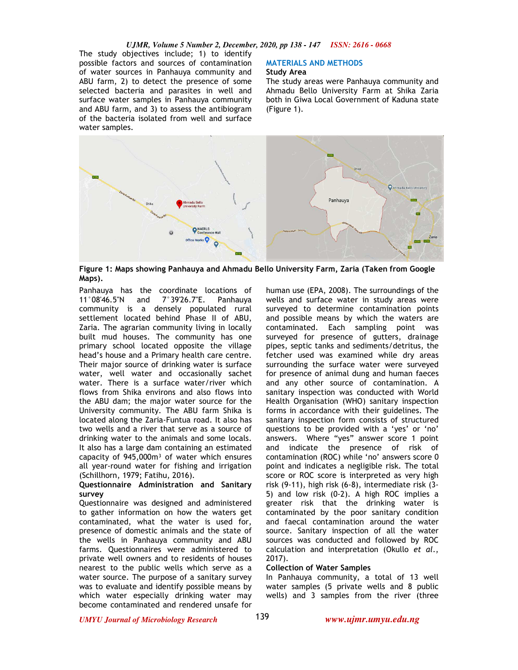*UJMR, Volume 5 Number 2, December, 2020, pp 138 - 147 ISSN: 2616 - 0668*

The study objectives include; 1) to identify possible factors and sources of contamination of water sources in Panhauya community and ABU farm, 2) to detect the presence of some selected bacteria and parasites in well and surface water samples in Panhauya community and ABU farm, and 3) to assess the antibiogram of the bacteria isolated from well and surface water samples.

#### **MATERIALS AND METHODS Study Area**

The study areas were Panhauya community and Ahmadu Bello University Farm at Shika Zaria both in Giwa Local Government of Kaduna state (Figure 1).



**Figure 1: Maps showing Panhauya and Ahmadu Bello University Farm, Zaria (Taken from Google Maps).** 

Panhauya has the coordinate locations of 11°08'46.5''N and 7°39'26.7''E. Panhauya community is a densely populated rural settlement located behind Phase II of ABU, Zaria. The agrarian community living in locally built mud houses. The community has one primary school located opposite the village head's house and a Primary health care centre. Their major source of drinking water is surface water, well water and occasionally sachet water. There is a surface water/river which flows from Shika environs and also flows into the ABU dam; the major water source for the University community. The ABU farm Shika is located along the Zaria-Funtua road. It also has two wells and a river that serve as a source of drinking water to the animals and some locals. It also has a large dam containing an estimated capacity of 945,000m<sup>3</sup> of water which ensures all year-round water for fishing and irrigation (Schillhorn, 1979; Fatihu, 2016).

### **Questionnaire Administration and Sanitary survey**

Questionnaire was designed and administered to gather information on how the waters get contaminated, what the water is used for, presence of domestic animals and the state of the wells in Panhauya community and ABU farms. Questionnaires were administered to private well owners and to residents of houses nearest to the public wells which serve as a water source. The purpose of a sanitary survey was to evaluate and identify possible means by which water especially drinking water may become contaminated and rendered unsafe for

human use (EPA, 2008). The surroundings of the wells and surface water in study areas were surveyed to determine contamination points and possible means by which the waters are contaminated. Each sampling point was surveyed for presence of gutters, drainage pipes, septic tanks and sediments/detritus, the fetcher used was examined while dry areas surrounding the surface water were surveyed for presence of animal dung and human faeces and any other source of contamination. A sanitary inspection was conducted with World Health Organisation (WHO) sanitary inspection forms in accordance with their guidelines. The sanitary inspection form consists of structured questions to be provided with a 'yes' or 'no' answers. Where "yes" answer score 1 point and indicate the presence of risk of contamination (ROC) while 'no' answers score 0 point and indicates a negligible risk. The total score or ROC score is interpreted as very high risk (9-11), high risk (6-8), intermediate risk (3- 5) and low risk (0-2). A high ROC implies a greater risk that the drinking water is contaminated by the poor sanitary condition and faecal contamination around the water source. Sanitary inspection of all the water sources was conducted and followed by ROC calculation and interpretation (Okullo *et al*., 2017).

### **Collection of Water Samples**

In Panhauya community, a total of 13 well water samples (5 private wells and 8 public wells) and 3 samples from the river (three

*UMYU Journal of Microbiology Research www.ujmr.umyu.edu.ng*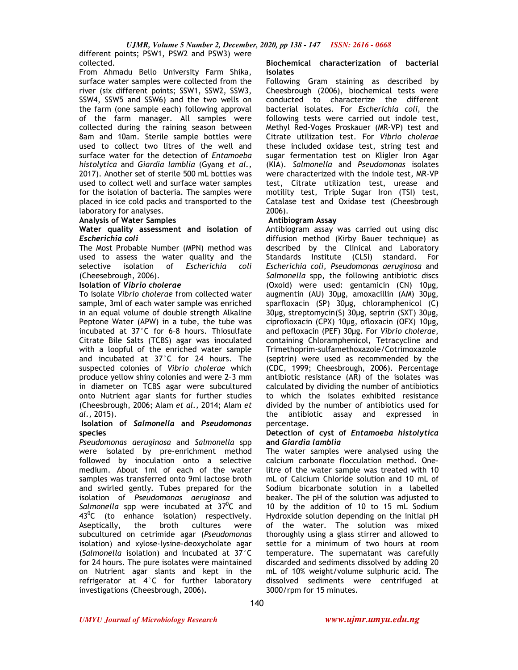From Ahmadu Bello University Farm Shika, surface water samples were collected from the river (six different points; SSW1, SSW2, SSW3, SSW4, SSW5 and SSW6) and the two wells on the farm (one sample each) following approval of the farm manager. All samples were collected during the raining season between 8am and 10am. Sterile sample bottles were used to collect two litres of the well and surface water for the detection of *Entamoeba histolytica* and *Giardia lamblia* (Gyang *et al.,* 2017). Another set of sterile 500 mL bottles was used to collect well and surface water samples for the isolation of bacteria. The samples were placed in ice cold packs and transported to the laboratory for analyses.

#### **Analysis of Water Samples**

### **Water quality assessment and isolation of**  *Escherichia coli*

The Most Probable Number (MPN) method was used to assess the water quality and the selective isolation of *Escherichia coli* (Cheesebrough, 2006).

### **Isolation of** *Vibrio cholerae*

To isolate *Vibrio cholerae* from collected water sample, 3ml of each water sample was enriched in an equal volume of double strength Alkaline Peptone Water (APW) in a tube, the tube was incubated at 37°C for 6–8 hours. Thiosulfate Citrate Bile Salts (TCBS) agar was inoculated with a loopful of the enriched water sample and incubated at 37°C for 24 hours. The suspected colonies of *Vibrio cholerae* which produce yellow shiny colonies and were 2–3 mm in diameter on TCBS agar were subcultured onto Nutrient agar slants for further studies (Cheesbrough, 2006; Alam *et al.,* 2014; Alam *et al.,* 2015).

### **Isolation of** *Salmonella* **and** *Pseudomonas*  **species**

*Pseudomonas aeruginosa* and *Salmonella* spp were isolated by pre-enrichment method followed by inoculation onto a selective medium. About 1ml of each of the water samples was transferred onto 9ml lactose broth and swirled gently. Tubes prepared for the isolation of *Pseudomonas aeruginosa* and Salmonella spp were incubated at 37<sup>0</sup>C and  $43^{\circ}$ C (to enhance isolation) respectively. Aseptically, the broth cultures were subcultured on cetrimide agar (*Pseudomonas* isolation) and xylose-lysine-deoxycholate agar (*Salmonella* isolation) and incubated at 37°C for 24 hours. The pure isolates were maintained on Nutrient agar slants and kept in the refrigerator at 4°C for further laboratory investigations (Cheesbrough, 2006)**.** 

# **Biochemical characterization of bacterial isolates**

Following Gram staining as described by Cheesbrough (2006), biochemical tests were conducted to characterize the different bacterial isolates. For *Escherichia coli,* the following tests were carried out indole test, Methyl Red-Voges Proskauer (MR-VP) test and Citrate utilization test. For *Vibrio cholerae* these included oxidase test, string test and sugar fermentation test on Kligler Iron Agar (KIA). *Salmonella* and *Pseudomonas* isolates were characterized with the indole test, MR-VP test, Citrate utilization test, urease and motility test, Triple Sugar Iron (TSI) test, Catalase test and Oxidase test (Cheesbrough 2006).

# **Antibiogram Assay**

Antibiogram assay was carried out using disc diffusion method (Kirby Bauer technique) as described by the Clinical and Laboratory Standards Institute (CLSI) standard. For *Escherichia coli, Pseudomonas aeruginosa* and *Salmonella* spp, the following antibiotic discs (Oxoid) were used: gentamicin (CN) 10µg, augmentin (AU) 30µg, amoxacillin (AM) 30µg, sparfloxacin (SP) 30µg, chloramphenicol (C) 30µg, streptomycin(S) 30µg, septrin (SXT) 30µg, ciprofloxacin (CPX) 10µg, ofloxacin (OFX) 10µg, and pefloxacin (PEF) 30µg. For *Vibrio cholerae*, containing Chloramphenicol, Tetracycline and Trimethoprim-sulfamethoxazole/Cotrimoxazole (septrin) were used as recommended by the (CDC, 1999; Cheesbrough, 2006). Percentage antibiotic resistance (AR) of the isolates was calculated by dividing the number of antibiotics to which the isolates exhibited resistance divided by the number of antibiotics used for the antibiotic assay and expressed in percentage.

### **Detection of cyst of** *Entamoeba histolytica* **and** *Giardia lamblia*

The water samples were analysed using the calcium carbonate flocculation method. Onelitre of the water sample was treated with 10 mL of Calcium Chloride solution and 10 mL of Sodium bicarbonate solution in a labelled beaker. The pH of the solution was adjusted to 10 by the addition of 10 to 15 mL Sodium Hydroxide solution depending on the initial pH of the water. The solution was mixed thoroughly using a glass stirrer and allowed to settle for a minimum of two hours at room temperature. The supernatant was carefully discarded and sediments dissolved by adding 20 mL of 10% weight/volume sulphuric acid. The dissolved sediments were centrifuged at 3000/rpm for 15 minutes.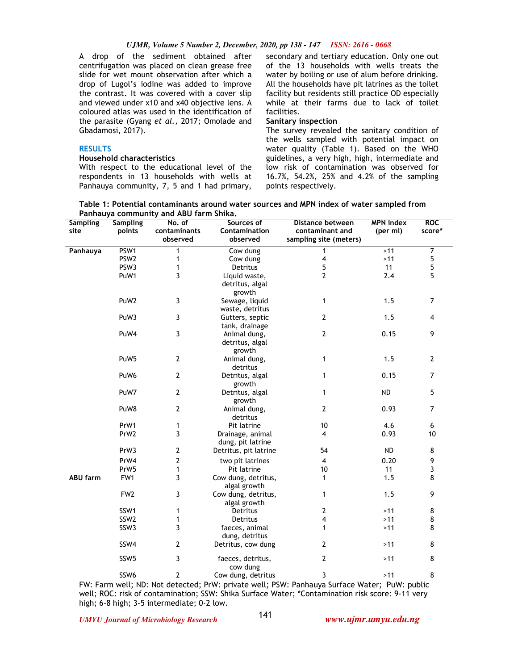### *UJMR, Volume 5 Number 2, December, 2020, pp 138 - 147 ISSN: 2616 - 0668*

A drop of the sediment obtained after centrifugation was placed on clean grease free slide for wet mount observation after which a drop of Lugol's iodine was added to improve the contrast. It was covered with a cover slip and viewed under x10 and x40 objective lens. A coloured atlas was used in the identification of the parasite (Gyang *et al.,* 2017; Omolade and Gbadamosi, 2017).

# **RESULTS**

#### **Household characteristics**

With respect to the educational level of the respondents in 13 households with wells at Panhauya community, 7, 5 and 1 had primary,

secondary and tertiary education. Only one out of the 13 households with wells treats the water by boiling or use of alum before drinking. All the households have pit latrines as the toilet facility but residents still practice OD especially while at their farms due to lack of toilet facilities.

### **Sanitary inspection**

The survey revealed the sanitary condition of the wells sampled with potential impact on water quality (Table 1). Based on the WHO guidelines, a very high, high, intermediate and low risk of contamination was observed for 16.7%, 54.2%, 25% and 4.2% of the sampling points respectively.

**Table 1: Potential contaminants around water sources and MPN index of water sampled from Panhauya community and ABU farm Shika.** 

| <b>Sampling</b> | <b>Sampling</b>  | No. of         | Sources of               | Distance between       | <b>MPN</b> index | <b>ROC</b>     |
|-----------------|------------------|----------------|--------------------------|------------------------|------------------|----------------|
| site            | points           | contaminants   | Contamination            | contaminant and        | (per ml)         | score*         |
|                 |                  | observed       | observed                 | sampling site (meters) |                  |                |
| Panhauya        | PSW1             | 1              | Cow dung                 | $\overline{1}$         | >11              | 7              |
|                 | PSW <sub>2</sub> | 1              | Cow dung                 | 4                      | $>11$            | 5              |
|                 | PSW3             | 1              | Detritus                 | 5                      | 11               | 5              |
|                 | PuW1             | 3              | Liquid waste,            | $\overline{2}$         | 2.4              | 5              |
|                 |                  |                | detritus, algal          |                        |                  |                |
|                 |                  |                | growth                   |                        |                  |                |
|                 | PuW <sub>2</sub> | 3              | Sewage, liquid           | 1                      | 1.5              | 7              |
|                 |                  |                | waste, detritus          |                        |                  |                |
|                 | PuW3             | 3              | Gutters, septic          | $\overline{2}$         | 1.5              | $\overline{4}$ |
|                 |                  |                | tank, drainage           |                        |                  |                |
|                 | PuW4             | 3              | Animal dung,             | $\mathbf 2$            | 0.15             | 9              |
|                 |                  |                | detritus, algal          |                        |                  |                |
|                 |                  |                | growth                   |                        |                  |                |
|                 | PuW <sub>5</sub> | $\overline{2}$ | Animal dung,             | 1                      | 1.5              | $\overline{2}$ |
|                 |                  |                | detritus                 |                        |                  |                |
|                 | PuW <sub>6</sub> | $\mathbf{2}$   | Detritus, algal          | 1                      | 0.15             | $\overline{7}$ |
|                 |                  |                | growth                   |                        |                  |                |
|                 | PuW7             | $\overline{2}$ | Detritus, algal          | 1                      | <b>ND</b>        | 5              |
|                 |                  |                | growth                   |                        |                  | $\overline{7}$ |
|                 | PuW8             | $\mathbf{2}$   | Animal dung,<br>detritus | 2                      | 0.93             |                |
|                 | PrW1             | 1              | Pit latrine              | 10                     | 4.6              | 6              |
|                 | PrW2             | 3              | Drainage, animal         | $\overline{4}$         | 0.93             | 10             |
|                 |                  |                | dung, pit latrine        |                        |                  |                |
|                 | PrW3             | $\mathbf 2$    | Detritus, pit latrine    | 54                     | <b>ND</b>        | 8              |
|                 | PrW4             | $\overline{2}$ | two pit latrines         | $\overline{4}$         | 0.20             | 9              |
|                 | PrW <sub>5</sub> | 1              | Pit latrine              | 10                     | 11               | 3              |
| <b>ABU farm</b> | FW1              | 3              | Cow dung, detritus,      | 1                      | 1.5              | 8              |
|                 |                  |                | algal growth             |                        |                  |                |
|                 | FW <sub>2</sub>  | 3              | Cow dung, detritus,      | 1                      | 1.5              | 9              |
|                 |                  |                | algal growth             |                        |                  |                |
|                 | SSW1             | 1              | Detritus                 | 2                      | $>11$            | 8              |
|                 | SSW <sub>2</sub> | $\mathbf{1}$   | Detritus                 | 4                      | $>11$            | 8              |
|                 | SSW3             | 3              | faeces, animal           | 1                      | $>11$            | 8              |
|                 |                  |                | dung, detritus           |                        |                  |                |
|                 | SSW4             | 2              | Detritus, cow dung       | 2                      | $>11$            | 8              |
|                 | SSW <sub>5</sub> | 3              | faeces, detritus,        | 2                      | $>11$            | 8              |
|                 |                  |                | cow dung                 |                        |                  |                |
|                 | SSW6             | $\mathbf{2}$   | Cow dung, detritus       | 3                      | >11              | 8              |

FW: Farm well; ND: Not detected; PrW: private well; PSW: Panhauya Surface Water; PuW: public well; ROC: risk of contamination; SSW: Shika Surface Water; \*Contamination risk score: 9-11 very high; 6-8 high; 3-5 intermediate; 0-2 low.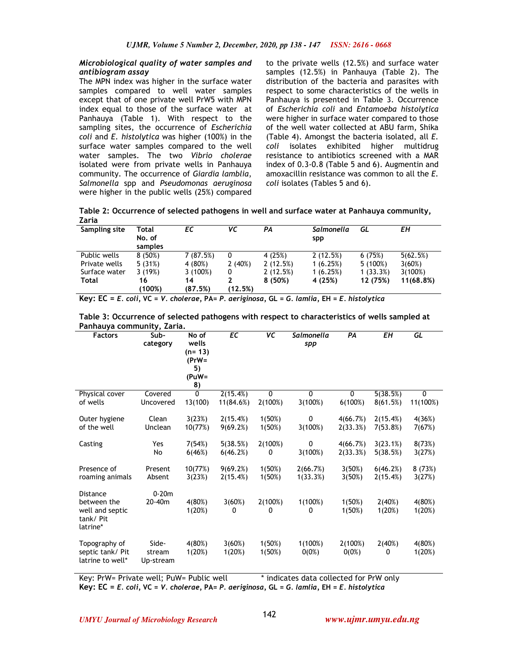## *Microbiological quality of water samples and antibiogram assay*

The MPN index was higher in the surface water samples compared to well water samples except that of one private well PrW5 with MPN index equal to those of the surface water at Panhauya (Table 1). With respect to the sampling sites, the occurrence of *Escherichia coli* and *E. histolytica* was higher (100%) in the surface water samples compared to the well water samples. The two *Vibrio cholerae* isolated were from private wells in Panhauya community. The occurrence of *Giardia lamblia*, *Salmonella* spp and *Pseudomonas aeruginosa*  were higher in the public wells (25%) compared to the private wells (12.5%) and surface water samples (12.5%) in Panhauya (Table 2). The distribution of the bacteria and parasites with respect to some characteristics of the wells in Panhauya is presented in Table 3. Occurrence of *Escherichia coli* and *Entamoeba histolytica*  were higher in surface water compared to those of the well water collected at ABU farm, Shika (Table 4). Amongst the bacteria isolated, all *E. coli* isolates exhibited higher multidrug resistance to antibiotics screened with a MAR index of 0.3-0.8 (Table 5 and 6). Augmentin and amoxacillin resistance was common to all the *E. coli* isolates (Tables 5 and 6).

**Table 2: Occurrence of selected pathogens in well and surface water at Panhauya community, Zaria** 

| Sampling site | Total   | ЕC       | VΣ      | PA       | Salmonella | GL         | EН        |
|---------------|---------|----------|---------|----------|------------|------------|-----------|
|               | No. of  |          |         |          | spp        |            |           |
|               | samples |          |         |          |            |            |           |
| Public wells  | 8(50%)  | 7(87.5%) | 0       | 4 (25%)  | 2(12.5%)   | 6(75%)     | 5(62.5%)  |
| Private wells | 5(31%)  | 4 (80%)  | 2(40%)  | 2(12.5%) | 1(6.25%)   | $5(100\%)$ | 3(60%)    |
| Surface water | 3(19%)  | 3(100%)  | 0       | 2(12.5%) | 1(6.25%)   | 1(33.3%)   | 3(100%)   |
| Total         | 16      | 14       |         | 8 (50%)  | 4 (25%)    | 12 (75%)   | 11(68.8%) |
|               | (100%)  | (87.5%)  | (12.5%) |          |            |            |           |

|  |  |  |  |  |  |  | Key: EC = E. coli, VC = V. cholerae, PA= P. aeriginosa, GL = G. lamlia, EH = E. histolytica |  |  |  |  |  |
|--|--|--|--|--|--|--|---------------------------------------------------------------------------------------------|--|--|--|--|--|
|--|--|--|--|--|--|--|---------------------------------------------------------------------------------------------|--|--|--|--|--|

| Table 3: Occurrence of selected pathogens with respect to characteristics of wells sampled at |  |
|-----------------------------------------------------------------------------------------------|--|
| Panhauya community, Zaria.                                                                    |  |

| <b>Factors</b>                                                            | ,,<br>Sub-<br>category       | No of<br>wells<br>(n= 13)<br>$(PrW =$<br>5)<br>(PuW= | EC                    | $\overline{VC}$         | Salmonella<br>spp    | PA                   | EΗ                   | GL               |
|---------------------------------------------------------------------------|------------------------------|------------------------------------------------------|-----------------------|-------------------------|----------------------|----------------------|----------------------|------------------|
|                                                                           |                              | 8)                                                   |                       |                         |                      |                      |                      |                  |
| Physical cover<br>of wells                                                | Covered<br>Uncovered         | $\mathbf{0}$<br>13(100)                              | 2(15.4%)<br>11(84.6%) | $\mathbf{0}$<br>2(100%) | $\Omega$<br>3(100%)  | 0<br>6(100%)         | 5(38.5%)<br>8(61.5%) | 0<br>11(100%)    |
| Outer hygiene                                                             | Clean                        | 3(23%)                                               | 2(15.4%)              | 1(50%)                  | 0                    | 4(66.7%)             | 2(15.4%)             | 4(36%)           |
| of the well                                                               | Unclean                      | 10(77%)                                              | 9(69.2%)              | 1(50%)                  | 3(100%)              | 2(33.3%)             | 7(53.8%)             | 7(67%)           |
| Casting                                                                   | Yes<br>No                    | 7(54%)<br>6(46%)                                     | 5(38.5%)<br>6(46.2%)  | 2(100%)<br>0            | 0<br>3(100%)         | 4(66.7%)<br>2(33.3%) | 3(23.1%)<br>5(38.5%) | 8(73%)<br>3(27%) |
| Presence of<br>roaming animals                                            | Present<br>Absent            | 10(77%)<br>3(23%)                                    | 9(69.2%)<br>2(15.4%)  | 1(50%)<br>1(50%)        | 2(66.7%)<br>1(33.3%) | 3(50%)<br>3(50%)     | 6(46.2%)<br>2(15.4%) | 8(73%)<br>3(27%) |
| <b>Distance</b><br>between the<br>well and septic<br>tank/Pit<br>latrine* | $0-20m$<br>20-40m            | 4(80%)<br>1(20%)                                     | 3(60%)<br>0           | 2(100%)<br>0            | 1(100%)<br>0         | 1(50%)<br>1(50%)     | 2(40%)<br>1(20%)     | 4(80%)<br>1(20%) |
| Topography of<br>septic tank/ Pit<br>latrine to well*                     | Side-<br>stream<br>Up-stream | 4(80%)<br>1(20%)                                     | 3(60%)<br>1(20%)      | 1(50%)<br>1(50%)        | 1(100%)<br>$0(0\%)$  | 2(100%)<br>$0(0\%)$  | 2(40%)<br>0          | 4(80%)<br>1(20%) |

Key: PrW= Private well; PuW= Public well \* indicates data collected for PrW only **Key: EC =** *E. coli,* **VC =** *V. cholerae,* **PA=** *P. aeriginosa,* **GL =** *G. lamlia,* **EH =** *E. histolytica*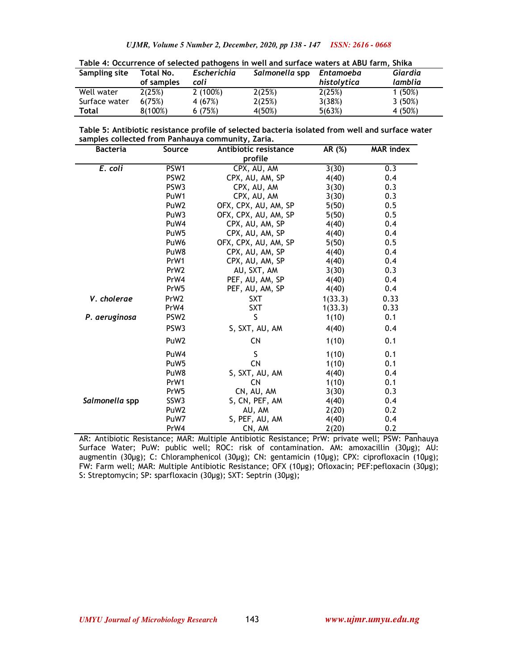| Table 4: Occurrence of selected pathogens in well and surface waters at ABU farm, Shika |                         |                     |                  |                          |                    |  |  |
|-----------------------------------------------------------------------------------------|-------------------------|---------------------|------------------|--------------------------|--------------------|--|--|
| Sampling site                                                                           | Total No.<br>of samples | Escherichia<br>coli | Salmonella spp   | Entamoeba<br>histolytica | Giardia<br>lamblia |  |  |
| Well water<br>Surface water                                                             | 2(25%)<br>6(75%)        | 2(100%)<br>4 (67%)  | 2(25%)<br>2(25%) | 2(25%)<br>3(38%)         | 1(50%)<br>3(50%)   |  |  |
| Total                                                                                   | 8(100%)                 | 6(75%)              | 4(50%)           | 5(63%)                   | 4 (50%)            |  |  |

| Table 5: Antibiotic resistance profile of selected bacteria isolated from well and surface water |  |  |
|--------------------------------------------------------------------------------------------------|--|--|

| samples collected from Panhauya community, Zaria. |                  |                       |         |                  |  |  |  |
|---------------------------------------------------|------------------|-----------------------|---------|------------------|--|--|--|
| <b>Bacteria</b>                                   | Source           | Antibiotic resistance | AR (%)  | <b>MAR</b> index |  |  |  |
|                                                   |                  | profile               |         |                  |  |  |  |
| E. coli                                           | PSW1             | CPX, AU, AM           | 3(30)   | 0.3              |  |  |  |
|                                                   | PSW <sub>2</sub> | CPX, AU, AM, SP       | 4(40)   | 0.4              |  |  |  |
|                                                   | PSW <sub>3</sub> | CPX, AU, AM           | 3(30)   | 0.3              |  |  |  |
|                                                   | PuW1             | CPX, AU, AM           | 3(30)   | 0.3              |  |  |  |
|                                                   | PuW <sub>2</sub> | OFX, CPX, AU, AM, SP  | 5(50)   | 0.5              |  |  |  |
|                                                   | PuW3             | OFX, CPX, AU, AM, SP  | 5(50)   | 0.5              |  |  |  |
|                                                   | PuW4             | CPX, AU, AM, SP       | 4(40)   | 0.4              |  |  |  |
|                                                   | PuW <sub>5</sub> | CPX, AU, AM, SP       | 4(40)   | 0.4              |  |  |  |
|                                                   | PuW <sub>6</sub> | OFX, CPX, AU, AM, SP  | 5(50)   | 0.5              |  |  |  |
|                                                   | PuW8             | CPX, AU, AM, SP       | 4(40)   | 0.4              |  |  |  |
|                                                   | PrW1             | CPX, AU, AM, SP       | 4(40)   | 0.4              |  |  |  |
|                                                   | PrW <sub>2</sub> | AU, SXT, AM           | 3(30)   | 0.3              |  |  |  |
|                                                   | PrW4             | PEF, AU, AM, SP       | 4(40)   | 0.4              |  |  |  |
|                                                   | PrW <sub>5</sub> | PEF, AU, AM, SP       | 4(40)   | 0.4              |  |  |  |
| V. cholerae                                       | PrW <sub>2</sub> | <b>SXT</b>            | 1(33.3) | 0.33             |  |  |  |
|                                                   | PrW4             | <b>SXT</b>            | 1(33.3) | 0.33             |  |  |  |
| P. aeruginosa                                     | PSW <sub>2</sub> | S                     | 1(10)   | 0.1              |  |  |  |
|                                                   | PSW <sub>3</sub> | S, SXT, AU, AM        | 4(40)   | 0.4              |  |  |  |
|                                                   | PuW <sub>2</sub> | <b>CN</b>             | 1(10)   | 0.1              |  |  |  |
|                                                   | PuW4             | S                     | 1(10)   | 0.1              |  |  |  |
|                                                   | PuW <sub>5</sub> | <b>CN</b>             | 1(10)   | 0.1              |  |  |  |
|                                                   | PuW8             | S, SXT, AU, AM        | 4(40)   | 0.4              |  |  |  |
|                                                   | PrW1             | CN                    | 1(10)   | 0.1              |  |  |  |
|                                                   | PrW <sub>5</sub> | CN, AU, AM            | 3(30)   | 0.3              |  |  |  |
| Salmonella spp                                    | SSW <sub>3</sub> | S, CN, PEF, AM        | 4(40)   | 0.4              |  |  |  |
|                                                   | PuW <sub>2</sub> | AU, AM                | 2(20)   | 0.2              |  |  |  |
|                                                   | PuW7             | S, PEF, AU, AM        | 4(40)   | 0.4              |  |  |  |
|                                                   | PrW4             | CN, AM                | 2(20)   | 0.2              |  |  |  |

AR: Antibiotic Resistance; MAR: Multiple Antibiotic Resistance; PrW: private well; PSW: Panhauya Surface Water; PuW: public well; ROC: risk of contamination. AM: amoxacillin (30µg); AU: augmentin (30µg); C: Chloramphenicol (30µg); CN: gentamicin (10µg); CPX: ciprofloxacin (10µg); FW: Farm well; MAR: Multiple Antibiotic Resistance; OFX (10µg); Ofloxacin; PEF:pefloxacin (30µg); S: Streptomycin; SP: sparfloxacin (30µg); SXT: Septrin (30µg);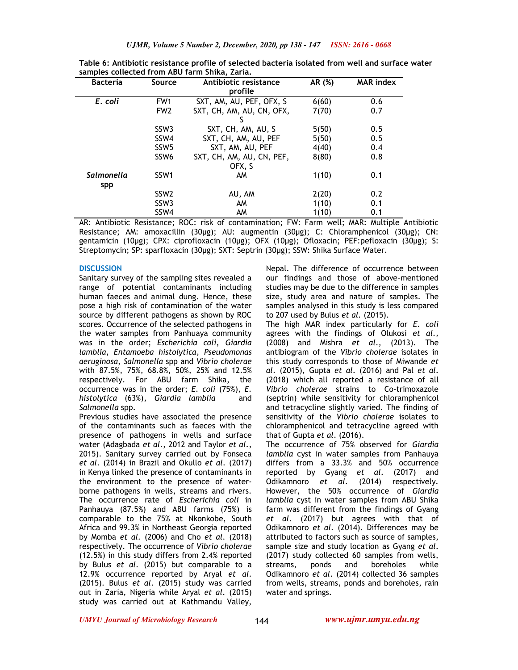| <b>Bacteria</b>   | <b>Source</b>    | Antibiotic resistance     | AR (%) | <b>MAR</b> index |
|-------------------|------------------|---------------------------|--------|------------------|
|                   |                  | profile                   |        |                  |
| E. coli           | FW <sub>1</sub>  | SXT, AM, AU, PEF, OFX, S  | 6(60)  | 0.6              |
|                   | FW <sub>2</sub>  | SXT, CH, AM, AU, CN, OFX, | 7(70)  | 0.7              |
|                   |                  |                           |        |                  |
|                   | SSW <sub>3</sub> | SXT, CH, AM, AU, S        | 5(50)  | 0.5              |
|                   | SSW4             | SXT, CH, AM, AU, PEF      | 5(50)  | 0.5              |
|                   | SSW <sub>5</sub> | SXT, AM, AU, PEF          | 4(40)  | 0.4              |
|                   | SSW <sub>6</sub> | SXT, CH, AM, AU, CN, PEF, | 8(80)  | 0.8              |
|                   |                  | OFX. S                    |        |                  |
| <b>Salmonella</b> | SSW <sub>1</sub> | AM                        | 1(10)  | 0.1              |
| spp               |                  |                           |        |                  |
|                   | SSW <sub>2</sub> | AU, AM                    | 2(20)  | 0.2              |
|                   | SSW <sub>3</sub> | AM                        | 1(10)  | 0.1              |
|                   | SSW4             | AM                        | 1(10)  | 0.1              |

**Table 6: Antibiotic resistance profile of selected bacteria isolated from well and surface water samples collected from ABU farm Shika, Zaria.** 

AR: Antibiotic Resistance; ROC: risk of contamination; FW: Farm well; MAR: Multiple Antibiotic Resistance; AM: amoxacillin (30µg); AU: augmentin (30µg); C: Chloramphenicol (30µg); CN: gentamicin (10µg); CPX: ciprofloxacin (10µg); OFX (10µg); Ofloxacin; PEF:pefloxacin (30µg); S: Streptomycin; SP: sparfloxacin (30µg); SXT: Septrin (30µg); SSW: Shika Surface Water.

### **DISCUSSION**

Sanitary survey of the sampling sites revealed a range of potential contaminants including human faeces and animal dung. Hence, these pose a high risk of contamination of the water source by different pathogens as shown by ROC scores. Occurrence of the selected pathogens in the water samples from Panhuaya community was in the order; *Escherichia coli*, *Giardia lamblia*, *Entamoeba histolytica*, *Pseudomonas aeruginosa*, *Salmonella* spp and *Vibrio cholerae* with 87.5%, 75%, 68.8%, 50%, 25% and 12.5% respectively. For ABU farm Shika, the occurrence was in the order; *E. coli* (75%), *E. histolytica* (63%), *Giardia lamblia* and *Salmonella* spp.

Previous studies have associated the presence of the contaminants such as faeces with the presence of pathogens in wells and surface water (Adagbada *et al*., 2012 and Taylor *et al*., 2015). Sanitary survey carried out by Fonseca *et al*. (2014) in Brazil and Okullo *et al*. (2017) in Kenya linked the presence of contaminants in the environment to the presence of waterborne pathogens in wells, streams and rivers. The occurrence rate of *Escherichia coli* in Panhauya (87.5%) and ABU farms (75%) is comparable to the 75% at Nkonkobe, South Africa and 99.3% in Northeast Georgia reported by Momba *et al.* (2006) and Cho *et al*. (2018) respectively. The occurrence of *Vibrio cholerae*  (12.5%) in this study differs from 2.4% reported by Bulus *et al*. (2015) but comparable to a 12.9% occurrence reported by Aryal *et al*. (2015). Bulus *et al*. (2015) study was carried out in Zaria, Nigeria while Aryal *et al*. (2015) study was carried out at Kathmandu Valley,

Nepal. The difference of occurrence between our findings and those of above-mentioned studies may be due to the difference in samples size, study area and nature of samples. The samples analysed in this study is less compared to 207 used by Bulus *et al.* (2015).

The high MAR index particularly for *E. coli* agrees with the findings of Olukosi *et al.,*  (2008) and Mishra *et al*., (2013). The antibiogram of the *Vibrio cholerae* isolates in this study corresponds to those of Miwande *et al*. (2015), Gupta *et al*. (2016) and Pal *et al*. (2018) which all reported a resistance of all *Vibrio cholerae* strains to Co-trimoxazole (septrin) while sensitivity for chloramphenicol and tetracycline slightly varied. The finding of sensitivity of the *Vibrio cholerae* isolates to chloramphenicol and tetracycline agreed with that of Gupta *et al*. (2016).

The occurrence of 75% observed for *Giardia lamblia* cyst in water samples from Panhauya differs from a 33.3% and 50% occurrence reported by Gyang *et al*. (2017) and Odikamnoro *et al*. (2014) respectively. However, the 50% occurrence of *Giardia lamblia* cyst in water samples from ABU Shika farm was different from the findings of Gyang *et al*. (2017) but agrees with that of Odikamnoro *et al*. (2014). Differences may be attributed to factors such as source of samples, sample size and study location as Gyang *et al*. (2017) study collected 60 samples from wells, streams, ponds and boreholes while Odikamnoro *et al*. (2014) collected 36 samples from wells, streams, ponds and boreholes, rain water and springs.

*UMYU Journal of Microbiology Research www.ujmr.umyu.edu.ng*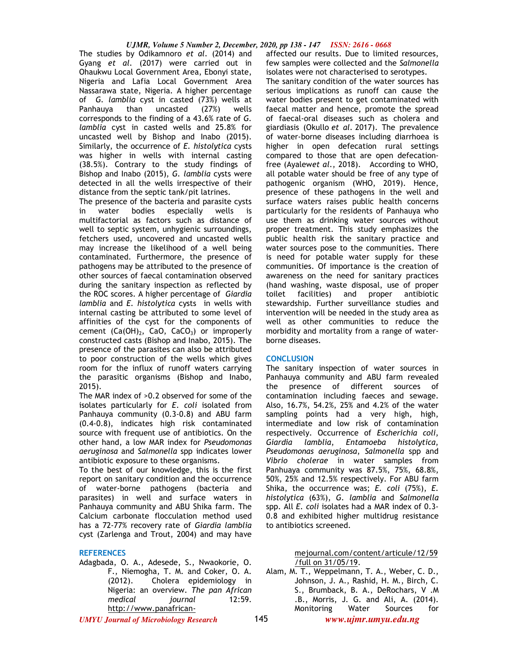#### *UJMR, Volume 5 Number 2, December, 2020, pp 138 - 147 ISSN: 2616 - 0668*

The studies by Odikamnoro *et al*. (2014) and Gyang *et al*. (2017) were carried out in Ohaukwu Local Government Area, Ebonyi state, Nigeria and Lafia Local Government Area Nassarawa state, Nigeria. A higher percentage of *G. lamblia* cyst in casted (73%) wells at Panhauya than uncasted (27%) wells corresponds to the finding of a 43.6% rate of *G. lamblia* cyst in casted wells and 25.8% for uncasted well by Bishop and Inabo (2015). Similarly, the occurrence of *E. histolytica* cysts was higher in wells with internal casting (38.5%). Contrary to the study findings of Bishop and Inabo (2015), *G. lamblia* cysts were detected in all the wells irrespective of their distance from the septic tank/pit latrines.

The presence of the bacteria and parasite cysts in water bodies especially wells is multifactorial as factors such as distance of well to septic system, unhygienic surroundings, fetchers used, uncovered and uncasted wells may increase the likelihood of a well being contaminated. Furthermore, the presence of pathogens may be attributed to the presence of other sources of faecal contamination observed during the sanitary inspection as reflected by the ROC scores. A higher percentage of *Giardia lamblia* and *E. histolytica* cysts in wells with internal casting be attributed to some level of affinities of the cyst for the components of cement  $(Ca(OH)<sub>2</sub>, CaO, CaCO<sub>3</sub>)$  or improperly constructed casts (Bishop and Inabo, 2015). The presence of the parasites can also be attributed to poor construction of the wells which gives room for the influx of runoff waters carrying the parasitic organisms (Bishop and Inabo, 2015).

The MAR index of >0.2 observed for some of the isolates particularly for *E. coli* isolated from Panhauya community (0.3-0.8) and ABU farm (0.4-0.8), indicates high risk contaminated source with frequent use of antibiotics. On the other hand, a low MAR index for *Pseudomonas aeruginosa* and *Salmonella* spp indicates lower antibiotic exposure to these organisms.

To the best of our knowledge, this is the first report on sanitary condition and the occurrence of water-borne pathogens (bacteria and parasites) in well and surface waters in Panhauya community and ABU Shika farm. The Calcium carbonate flocculation method used has a 72-77% recovery rate of *Giardia lamblia*  cyst (Zarlenga and Trout, 2004) and may have

### **REFERENCES**

Adagbada, O. A., Adesede, S., Nwaokorie, O. F., Niemogha, T. M. and Coker, O. A. (2012). Cholera epidemiology in Nigeria: an overview. *The pan African medical journal* http://www.panafrican-

affected our results. Due to limited resources, few samples were collected and the *Salmonella* isolates were not characterised to serotypes.

The sanitary condition of the water sources has serious implications as runoff can cause the water bodies present to get contaminated with faecal matter and hence, promote the spread of faecal-oral diseases such as cholera and giardiasis (Okullo *et al.* 2017). The prevalence of water-borne diseases including diarrhoea is higher in open defecation rural settings compared to those that are open defecationfree (Ayalew*et al*., 2018). According to WHO, all potable water should be free of any type of pathogenic organism (WHO, 2019). Hence, presence of these pathogens in the well and surface waters raises public health concerns particularly for the residents of Panhauya who use them as drinking water sources without proper treatment. This study emphasizes the public health risk the sanitary practice and water sources pose to the communities. There is need for potable water supply for these communities. Of importance is the creation of awareness on the need for sanitary practices (hand washing, waste disposal, use of proper toilet facilities) and proper antibiotic stewardship. Further surveillance studies and intervention will be needed in the study area as well as other communities to reduce the morbidity and mortality from a range of waterborne diseases.

#### **CONCLUSION**

The sanitary inspection of water sources in Panhauya community and ABU farm revealed the presence of different sources of contamination including faeces and sewage. Also, 16.7%, 54.2%, 25% and 4.2% of the water sampling points had a very high, high, intermediate and low risk of contamination respectively. Occurrence of *Escherichia coli*, *Giardia lamblia*, *Entamoeba histolytica*, *Pseudomonas aeruginosa*, *Salmonella* spp and *Vibrio cholerae* in water samples from Panhuaya community was 87.5%, 75%, 68.8%, 50%, 25% and 12.5% respectively. For ABU farm Shika, the occurrence was; *E. coli* (75%), *E. histolytica* (63%), *G. lamblia* and *Salmonella* spp. All *E. coli* isolates had a MAR index of 0.3- 0.8 and exhibited higher multidrug resistance to antibiotics screened.

> mejournal.com/content/articule/12/59 /full on 31/05/19.

*UMYU Journal of Microbiology Research www.ujmr.umyu.edu.ng* Alam, M. T., Weppelmann, T. A., Weber, C. D., Johnson, J. A., Rashid, H. M., Birch, C. S., Brumback, B. A., DeRochars, V .M .B., Morris, J. G. and Ali, A. (2014). Monitoring Water Sources for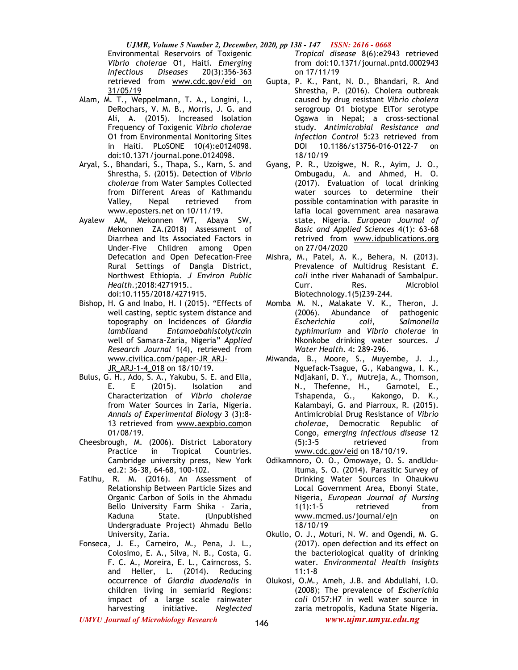*UJMR, Volume 5 Number 2, December, 2020, pp 138 - 147 ISSN: 2616 - 0668* Environmental Reservoirs of Toxigenic *Vibrio cholerae* O1, Haiti. *Emerging Infectious Diseases* 20(3):356-363 retrieved from www.cdc.gov/eid on 31/05/19

- Alam, M. T., Weppelmann, T. A., Longini, I., DeRochars, V. M. B., Morris, J. G. and Ali, A. (2015). Increased Isolation Frequency of Toxigenic *Vibrio cholerae* O1 from Environmental Monitoring Sites in Haiti. PLoSONE 10(4):e0124098. doi:10.1371/journal.pone.0124098.
- Aryal, S., Bhandari, S., Thapa, S., Karn, S. and Shrestha, S. (2015). Detection of *Vibrio cholerae* from Water Samples Collected from Different Areas of Kathmandu Valley, Nepal retrieved from www.eposters.net on 10/11/19.
- Ayalew AM, Mekonnen WT, Abaya SW, Mekonnen ZA.(2018) Assessment of Diarrhea and Its Associated Factors in Under-Five Children among Open Defecation and Open Defecation-Free Rural Settings of Dangla District, Northwest Ethiopia. *J Environ Public Health*.;2018:4271915.. doi:10.1155/2018/4271915.
- Bishop, H. G and Inabo, H. I (2015). "Effects of well casting, septic system distance and topography on Incidences of *Giardia lamblia*and *Entamoebahistolytica*in well of Samara-Zaria, Nigeria" *Applied Research Journal* 1(4), retrieved from www.civilica.com/paper-JR\_ARJ-JR\_ARJ-1-4\_018 on 18/10/19.
- Bulus, G. H., Ado, S. A., Yakubu, S. E. and Ella, E. E (2015). Isolation and Characterization of *Vibrio cholerae*  from Water Sources in Zaria, Nigeria. *Annals of Experimental Biology* 3 (3):8- 13 retrieved from www.aexpbio.comon 01/08/19.
- Cheesbrough, M. (2006). District Laboratory<br>Practice in Tropical Countries. Practice in Tropical Countries. Cambridge university press, New York ed.2: 36-38, 64-68, 100-102.
- Fatihu, R. M. (2016). An Assessment of Relationship Between Particle Sizes and Organic Carbon of Soils in the Ahmadu Bello University Farm Shika – Zaria, Kaduna State. (Unpublished Undergraduate Project) Ahmadu Bello University, Zaria.
- Fonseca, J. E., Carneiro, M., Pena, J. L., Colosimo, E. A., Silva, N. B., Costa, G. F. C. A., Moreira, E. L., Cairncross, S. and Heller, L. (2014). Reducing occurrence of *Giardia duodenalis* in children living in semiarid Regions: impact of a large scale rainwater harvesting initiative. *Neglected*

*Tropical disease* 8(6):e2943 retrieved from doi:10.1371/journal.pntd.0002943 on 17/11/19

- Gupta, P. K., Pant, N. D., Bhandari, R. And Shrestha, P. (2016). Cholera outbreak caused by drug resistant *Vibrio cholera*  serogroup O1 biotype ElTor serotype Ogawa in Nepal; a cross-sectional study. *Antimicrobial Resistance and Infection Control* 5:23 retrieved from DOI 10.1186/s13756-016-0122-7 on 18/10/19
- Gyang, P. R., Uzoigwe, N. R., Ayim, J. O., Ombugadu, A. and Ahmed, H. O. (2017). Evaluation of local drinking water sources to determine their possible contamination with parasite in lafia local government area nasarawa state, Nigeria. *European Journal of Basic and Applied Sciences* 4(1): 63-68 retrived from www.idpublications.org on 27/04/2020
- Mishra, M., Patel, A. K., Behera, N. (2013). Prevalence of Multidrug Resistant *E*. *coli* inthe river Mahanadi of Sambalpur. Curr. Res. Microbiol Biotechnology.1(5)239-244.
- Momba M. N., Malakate V. K., Theron, J. (2006). Abundance of pathogenic *Escherichia coli*, *Salmonella typhimurium* and *Vibrio cholerae* in Nkonkobe drinking water sources. *J Water Health*. 4: 289-296.
- Miwanda, B., Moore, S., Muyembe, J. J., Nguefack-Tsague, G., Kabangwa, I. K., Ndjakani, D. Y., Mutreja, A., Thomson, N., Thefenne, H., Garnotel, E., Tshapenda, G., Kakongo, D. K., Kalambayi, G. and Piarroux, R. (2015). Antimicrobial Drug Resistance of *Vibrio cholerae*, Democratic Republic of Congo, *emerging infectious disease* 12 (5):3-5 retrieved from www.cdc.gov/eid on 18/10/19.
- Odikamnoro, O. O., Omowaye, O. S. andUdu-Ituma, S. O. (2014). Parasitic Survey of Drinking Water Sources in Ohaukwu Local Government Area, Ebonyi State, Nigeria, *European Journal of Nursing* 1(1):1-5 retrieved from www.mcmed.us/journal/ejn on 18/10/19
- Okullo, O. J., Moturi, N. W. and Ogendi, M. G. (2017). open defection and its effect on the bacteriological quality of drinking water. *Environmental Health Insights* 11:1-8
- Olukosi, O.M., Ameh, J.B. and Abdullahi, I.O. (2008); The prevalence of *Escherichia coli* 0157:H7 in well water source in zaria metropolis, Kaduna State Nigeria.

*UMYU Journal of Microbiology Research www.ujmr.umyu.edu.ng*